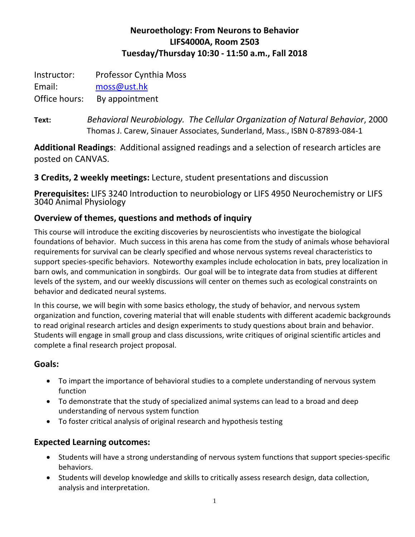## **Neuroethology: From Neurons to Behavior LIFS4000A, Room 2503 Tuesday/Thursday 10:30 - 11:50 a.m., Fall 2018**

Instructor: Professor Cynthia Moss Email: [moss@ust.hk](mailto:moss@ust.hk)

Office hours: By appointment

**Text:** *Behavioral Neurobiology. The Cellular Organization of Natural Behavior*, 2000 Thomas J. Carew, Sinauer Associates, Sunderland, Mass., ISBN 0-87893-084-1

**Additional Readings**: Additional assigned readings and a selection of research articles are posted on CANVAS.

**3 Credits, 2 weekly meetings:** Lecture, student presentations and discussion

**Prerequisites:** LIFS 3240 Introduction to neurobiology or LIFS 4950 Neurochemistry or LIFS 3040 Animal Physiology

## **Overview of themes, questions and methods of inquiry**

This course will introduce the exciting discoveries by neuroscientists who investigate the biological foundations of behavior. Much success in this arena has come from the study of animals whose behavioral requirements for survival can be clearly specified and whose nervous systems reveal characteristics to support species-specific behaviors. Noteworthy examples include echolocation in bats, prey localization in barn owls, and communication in songbirds. Our goal will be to integrate data from studies at different levels of the system, and our weekly discussions will center on themes such as ecological constraints on behavior and dedicated neural systems.

In this course, we will begin with some basics ethology, the study of behavior, and nervous system organization and function, covering material that will enable students with different academic backgrounds to read original research articles and design experiments to study questions about brain and behavior. Students will engage in small group and class discussions, write critiques of original scientific articles and complete a final research project proposal.

## **Goals:**

- To impart the importance of behavioral studies to a complete understanding of nervous system function
- To demonstrate that the study of specialized animal systems can lead to a broad and deep understanding of nervous system function
- To foster critical analysis of original research and hypothesis testing

## **Expected Learning outcomes:**

- Students will have a strong understanding of nervous system functions that support species-specific behaviors.
- Students will develop knowledge and skills to critically assess research design, data collection, analysis and interpretation.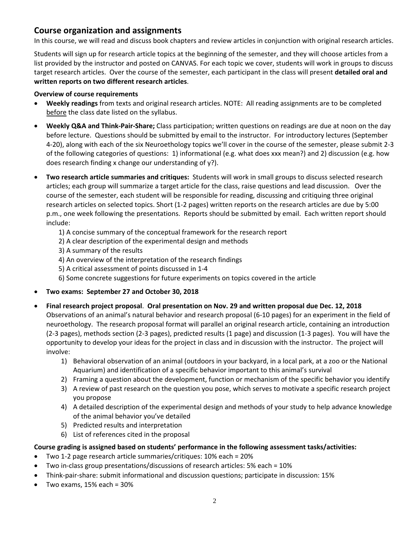### **Course organization and assignments**

In this course, we will read and discuss book chapters and review articles in conjunction with original research articles.

Students will sign up for research article topics at the beginning of the semester, and they will choose articles from a list provided by the instructor and posted on CANVAS. For each topic we cover, students will work in groups to discuss target research articles. Over the course of the semester, each participant in the class will present **detailed oral and written reports on two different research articles**.

#### **Overview of course requirements**

- **Weekly readings** from texts and original research articles. NOTE: All reading assignments are to be completed before the class date listed on the syllabus.
- **Weekly Q&A and Think-Pair-Share;** Class participation; written questions on readings are due at noon on the day before lecture. Questions should be submitted by email to the instructor. For introductory lectures (September 4-20), along with each of the six Neuroethology topics we'll cover in the course of the semester, please submit 2-3 of the following categories of questions: 1) informational (e.g. what does xxx mean?) and 2) discussion (e.g. how does research finding x change our understanding of y?).
- **Two research article summaries and critiques:** Students will work in small groups to discuss selected research articles; each group will summarize a target article for the class, raise questions and lead discussion. Over the course of the semester, each student will be responsible for reading, discussing and critiquing three original research articles on selected topics. Short (1-2 pages) written reports on the research articles are due by 5:00 p.m., one week following the presentations. Reports should be submitted by email. Each written report should include:
	- 1) A concise summary of the conceptual framework for the research report
	- 2) A clear description of the experimental design and methods
	- 3) A summary of the results
	- 4) An overview of the interpretation of the research findings
	- 5) A critical assessment of points discussed in 1-4
	- 6) Some concrete suggestions for future experiments on topics covered in the article
- **Two exams: September 27 and October 30, 2018**
- **Final research project proposal**. **Oral presentation on Nov. 29 and written proposal due Dec. 12, 2018** Observations of an animal's natural behavior and research proposal (6-10 pages) for an experiment in the field of neuroethology. The research proposal format will parallel an original research article, containing an introduction (2-3 pages), methods section (2-3 pages), predicted results (1 page) and discussion (1-3 pages). You will have the opportunity to develop your ideas for the project in class and in discussion with the instructor. The project will involve:
	- 1) Behavioral observation of an animal (outdoors in your backyard, in a local park, at a zoo or the National Aquarium) and identification of a specific behavior important to this animal's survival
	- 2) Framing a question about the development, function or mechanism of the specific behavior you identify
	- 3) A review of past research on the question you pose, which serves to motivate a specific research project you propose
	- 4) A detailed description of the experimental design and methods of your study to help advance knowledge of the animal behavior you've detailed
	- 5) Predicted results and interpretation
	- 6) List of references cited in the proposal

#### **Course grading is assigned based on students' performance in the following assessment tasks/activities:**

- Two 1-2 page research article summaries/critiques: 10% each = 20%
- Two in-class group presentations/discussions of research articles: 5% each = 10%
- Think-pair-share: submit informational and discussion questions; participate in discussion: 15%
- Two exams, 15% each = 30%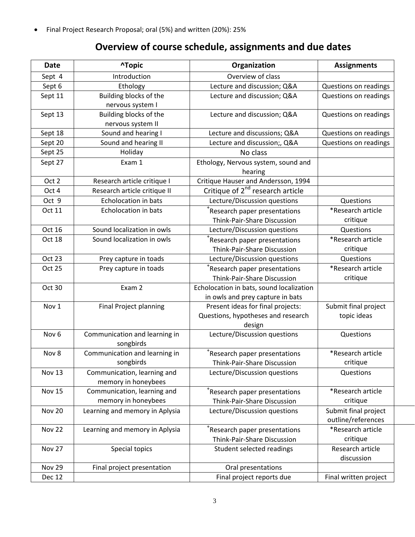• Final Project Research Proposal; oral (5%) and written (20%): 25%

# **Overview of course schedule, assignments and due dates**

| <b>Date</b>      | <b>^Topic</b>                                      | Organization                                                                      | <b>Assignments</b>                         |
|------------------|----------------------------------------------------|-----------------------------------------------------------------------------------|--------------------------------------------|
| Sept 4           | Introduction                                       | Overview of class                                                                 |                                            |
| Sept 6           | Ethology                                           | Lecture and discussion; Q&A                                                       | Questions on readings                      |
| Sept 11          | Building blocks of the<br>nervous system I         | Lecture and discussion; Q&A                                                       | Questions on readings                      |
| Sept 13          | Building blocks of the<br>nervous system II        | Lecture and discussion; Q&A                                                       | Questions on readings                      |
| Sept 18          | Sound and hearing I                                | Lecture and discussions; Q&A                                                      | Questions on readings                      |
| Sept 20          | Sound and hearing II                               | Lecture and discussion;, Q&A                                                      | Questions on readings                      |
| Sept 25          | Holiday                                            | No class                                                                          |                                            |
| Sept 27          | Exam 1                                             | Ethology, Nervous system, sound and<br>hearing                                    |                                            |
| Oct 2            | Research article critique I                        | Critique Hauser and Andersson, 1994                                               |                                            |
| Oct 4            | Research article critique II                       | Critique of 2 <sup>nd</sup> research article                                      |                                            |
| Oct 9            | Echolocation in bats                               | Lecture/Discussion questions                                                      | Questions                                  |
| Oct 11           | Echolocation in bats                               | Research paper presentations<br>Think-Pair-Share Discussion                       | *Research article<br>critique              |
| Oct 16           | Sound localization in owls                         | Lecture/Discussion questions                                                      | Questions                                  |
| Oct 18           | Sound localization in owls                         | *Research paper presentations<br>Think-Pair-Share Discussion                      | *Research article<br>critique              |
| Oct 23           | Prey capture in toads                              | Lecture/Discussion questions                                                      | Questions                                  |
| Oct 25           | Prey capture in toads                              | *Research paper presentations<br>Think-Pair-Share Discussion                      | *Research article<br>critique              |
| Oct 30           | Exam 2                                             | Echolocation in bats, sound localization<br>in owls and prey capture in bats      |                                            |
| Nov 1            | <b>Final Project planning</b>                      | Present ideas for final projects:<br>Questions, hypotheses and research<br>design | Submit final project<br>topic ideas        |
| Nov <sub>6</sub> | Communication and learning in<br>songbirds         | Lecture/Discussion questions                                                      | Questions                                  |
| Nov 8            | Communication and learning in<br>songbirds         | *Research paper presentations<br>Think-Pair-Share Discussion                      | *Research article<br>critique              |
| Nov 13           | Communication, learning and<br>memory in honeybees | Lecture/Discussion questions                                                      | Questions                                  |
| <b>Nov 15</b>    | Communication, learning and<br>memory in honeybees | *Research paper presentations<br>Think-Pair-Share Discussion                      | *Research article<br>critique              |
| <b>Nov 20</b>    | Learning and memory in Aplysia                     | Lecture/Discussion questions                                                      | Submit final project<br>outline/references |
| <b>Nov 22</b>    | Learning and memory in Aplysia                     | *Research paper presentations<br>Think-Pair-Share Discussion                      | *Research article<br>critique              |
| Nov 27           | Special topics                                     | Student selected readings                                                         | Research article<br>discussion             |
| <b>Nov 29</b>    | Final project presentation                         | Oral presentations                                                                |                                            |
| <b>Dec 12</b>    |                                                    | Final project reports due                                                         | Final written project                      |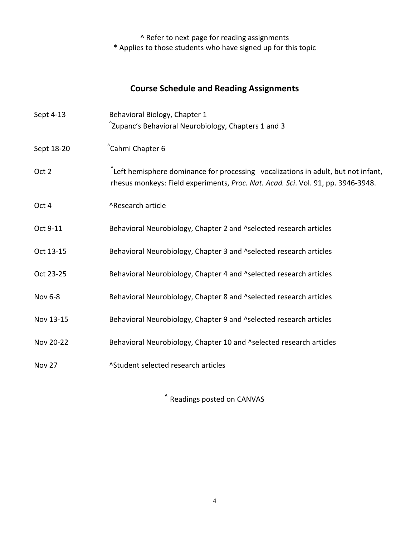^ Refer to next page for reading assignments \* Applies to those students who have signed up for this topic

## **Course Schedule and Reading Assignments**

| Sept 4-13  | Behavioral Biology, Chapter 1                                                                                                                                                  |  |  |
|------------|--------------------------------------------------------------------------------------------------------------------------------------------------------------------------------|--|--|
|            | $\hat{}$ Zupanc's Behavioral Neurobiology, Chapters 1 and 3                                                                                                                    |  |  |
| Sept 18-20 | Cahmi Chapter 6 <sup>®</sup>                                                                                                                                                   |  |  |
| Oct 2      | $\hat{ }$ Left hemisphere dominance for processing vocalizations in adult, but not infant,<br>rhesus monkeys: Field experiments, Proc. Nat. Acad. Sci. Vol. 91, pp. 3946-3948. |  |  |
| Oct 4      | ^Research article                                                                                                                                                              |  |  |
| Oct 9-11   | Behavioral Neurobiology, Chapter 2 and ^selected research articles                                                                                                             |  |  |
| Oct 13-15  | Behavioral Neurobiology, Chapter 3 and ^selected research articles                                                                                                             |  |  |
| Oct 23-25  | Behavioral Neurobiology, Chapter 4 and ^selected research articles                                                                                                             |  |  |
| Nov 6-8    | Behavioral Neurobiology, Chapter 8 and ^selected research articles                                                                                                             |  |  |
| Nov 13-15  | Behavioral Neurobiology, Chapter 9 and ^selected research articles                                                                                                             |  |  |
| Nov 20-22  | Behavioral Neurobiology, Chapter 10 and ^selected research articles                                                                                                            |  |  |
| Nov 27     | ^Student selected research articles                                                                                                                                            |  |  |

**^** Readings posted on CANVAS